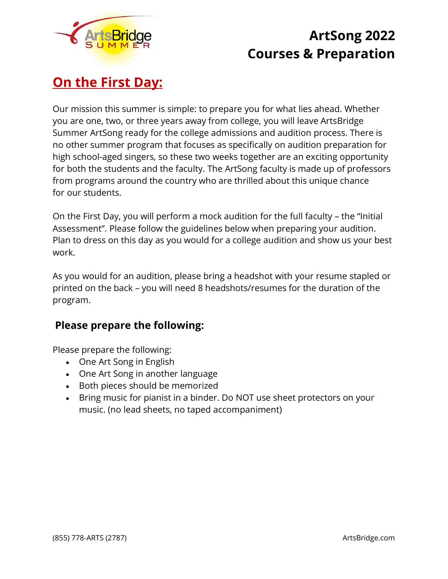

## **On the First Day:**

Our mission this summer is simple: to prepare you for what lies ahead. Whether you are one, two, or three years away from college, you will leave ArtsBridge Summer ArtSong ready for the college admissions and audition process. There is no other summer program that focuses as specifically on audition preparation for high school-aged singers, so these two weeks together are an exciting opportunity for both the students and the faculty. The ArtSong faculty is made up of professors from programs around the country who are thrilled about this unique chance for our students.

On the First Day, you will perform a mock audition for the full faculty – the "Initial Assessment". Please follow the guidelines below when preparing your audition. Plan to dress on this day as you would for a college audition and show us your best work.

As you would for an audition, please bring a headshot with your resume stapled or printed on the back – you will need 8 headshots/resumes for the duration of the program.

## **Please prepare the following:**

Please prepare the following:

- One Art Song in English
- One Art Song in another language
- Both pieces should be memorized
- Bring music for pianist in a binder. Do NOT use sheet protectors on your music. (no lead sheets, no taped accompaniment)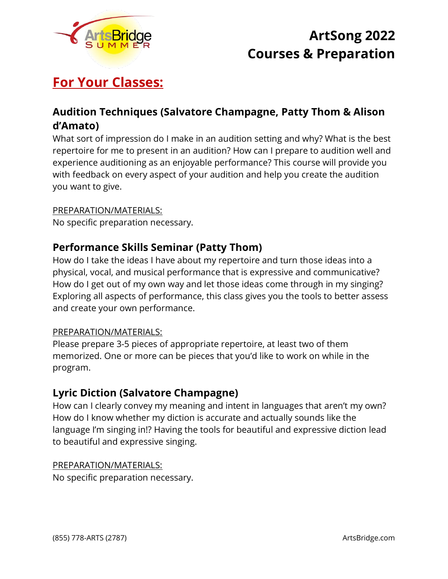

# **For Your Classes:**

## **Audition Techniques (Salvatore Champagne, Patty Thom & Alison d'Amato)**

What sort of impression do I make in an audition setting and why? What is the best repertoire for me to present in an audition? How can I prepare to audition well and experience auditioning as an enjoyable performance? This course will provide you with feedback on every aspect of your audition and help you create the audition you want to give.

### PREPARATION/MATERIALS:

No specific preparation necessary.

### **Performance Skills Seminar (Patty Thom)**

How do I take the ideas I have about my repertoire and turn those ideas into a physical, vocal, and musical performance that is expressive and communicative? How do I get out of my own way and let those ideas come through in my singing? Exploring all aspects of performance, this class gives you the tools to better assess and create your own performance.

#### PREPARATION/MATERIALS:

Please prepare 3-5 pieces of appropriate repertoire, at least two of them memorized. One or more can be pieces that you'd like to work on while in the program.

### **Lyric Diction (Salvatore Champagne)**

How can I clearly convey my meaning and intent in languages that aren't my own? How do I know whether my diction is accurate and actually sounds like the language I'm singing in!? Having the tools for beautiful and expressive diction lead to beautiful and expressive singing.

#### PREPARATION/MATERIALS:

No specific preparation necessary.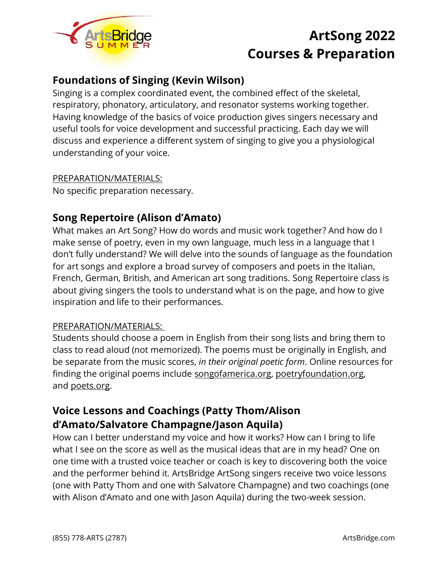

## **Foundations of Singing (Kevin Wilson)**

Singing is a complex coordinated event, the combined effect of the skeletal, respiratory, phonatory, articulatory, and resonator systems working together. Having knowledge of the basics of voice production gives singers necessary and useful tools for voice development and successful practicing. Each day we will discuss and experience a different system of singing to give you a physiological understanding of your voice.

### PREPARATION/MATERIALS:

No specific preparation necessary.

## **Song Repertoire (Alison d'Amato)**

What makes an Art Song? How do words and music work together? And how do I make sense of poetry, even in my own language, much less in a language that I don't fully understand? We will delve into the sounds of language as the foundation for art songs and explore a broad survey of composers and poets in the Italian, French, German, British, and American art song traditions. Song Repertoire class is about giving singers the tools to understand what is on the page, and how to give inspiration and life to their performances.

### PREPARATION/MATERIALS:

Students should choose a poem in English from their song lists and bring them to class to read aloud (not memorized). The poems must be originally in English, and be separate from the music scores, *in their original poetic form*. Online resources for finding the original poems include [songofamerica.org,](http://songofamerica.org/) [poetryfoundation.org,](http://poetryfoundation.org/) and [poets.org.](http://poets.org/)

## **Voice Lessons and Coachings (Patty Thom/Alison d'Amato/Salvatore Champagne/Jason Aquila)**

How can I better understand my voice and how it works? How can I bring to life what I see on the score as well as the musical ideas that are in my head? One on one time with a trusted voice teacher or coach is key to discovering both the voice and the performer behind it. ArtsBridge ArtSong singers receive two voice lessons (one with Patty Thom and one with Salvatore Champagne) and two coachings (one with Alison d'Amato and one with Jason Aquila) during the two-week session.